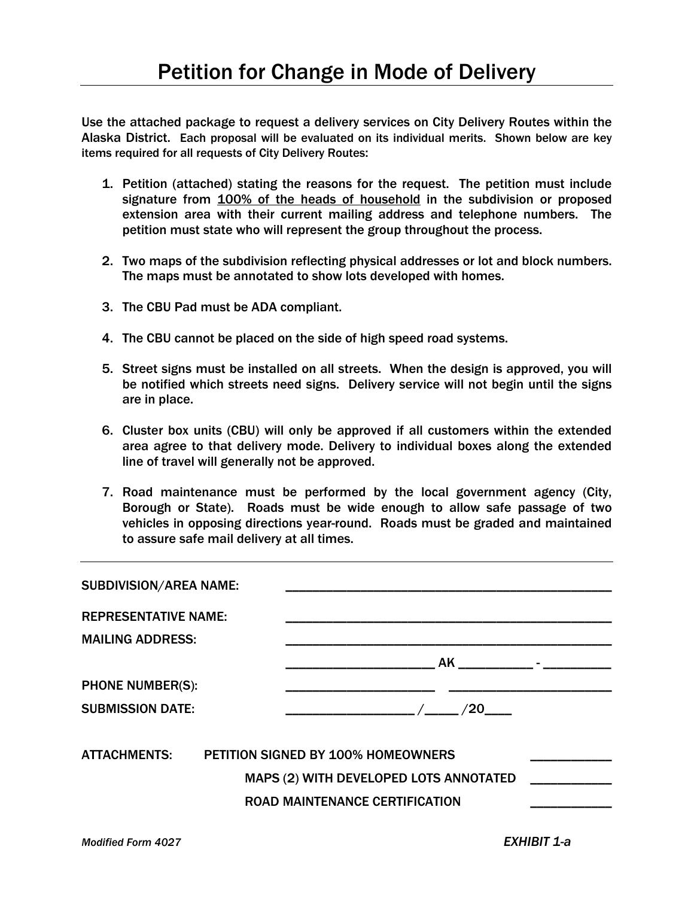Use the attached package to request a delivery services on City Delivery Routes within the Alaska District. Each proposal will be evaluated on its individual merits. Shown below are key items required for all requests of City Delivery Routes:

- 1. Petition (attached) stating the reasons for the request. The petition must include signature from 100% of the heads of household in the subdivision or proposed extension area with their current mailing address and telephone numbers. The petition must state who will represent the group throughout the process.
- 2. Two maps of the subdivision reflecting physical addresses or lot and block numbers. The maps must be annotated to show lots developed with homes.
- 3. The CBU Pad must be ADA compliant.
- 4. The CBU cannot be placed on the side of high speed road systems.
- 5. Street signs must be installed on all streets. When the design is approved, you will be notified which streets need signs. Delivery service will not begin until the signs are in place.
- 6. Cluster box units (CBU) will only be approved if all customers within the extended area agree to that delivery mode. Delivery to individual boxes along the extended line of travel will generally not be approved.
- 7. Road maintenance must be performed by the local government agency (City, Borough or State). Roads must be wide enough to allow safe passage of two vehicles in opposing directions year-round. Roads must be graded and maintained to assure safe mail delivery at all times.

| <b>SUBDIVISION/AREA NAME:</b> |                                                                                                                       |
|-------------------------------|-----------------------------------------------------------------------------------------------------------------------|
| <b>REPRESENTATIVE NAME:</b>   |                                                                                                                       |
| <b>MAILING ADDRESS:</b>       |                                                                                                                       |
|                               | AK                                                                                                                    |
| <b>PHONE NUMBER(S):</b>       |                                                                                                                       |
| <b>SUBMISSION DATE:</b>       | /20                                                                                                                   |
| <b>ATTACHMENTS:</b>           | <b>PETITION SIGNED BY 100% HOMEOWNERS</b><br>MAPS (2) WITH DEVELOPED LOTS ANNOTATED<br>ROAD MAINTENANCE CERTIFICATION |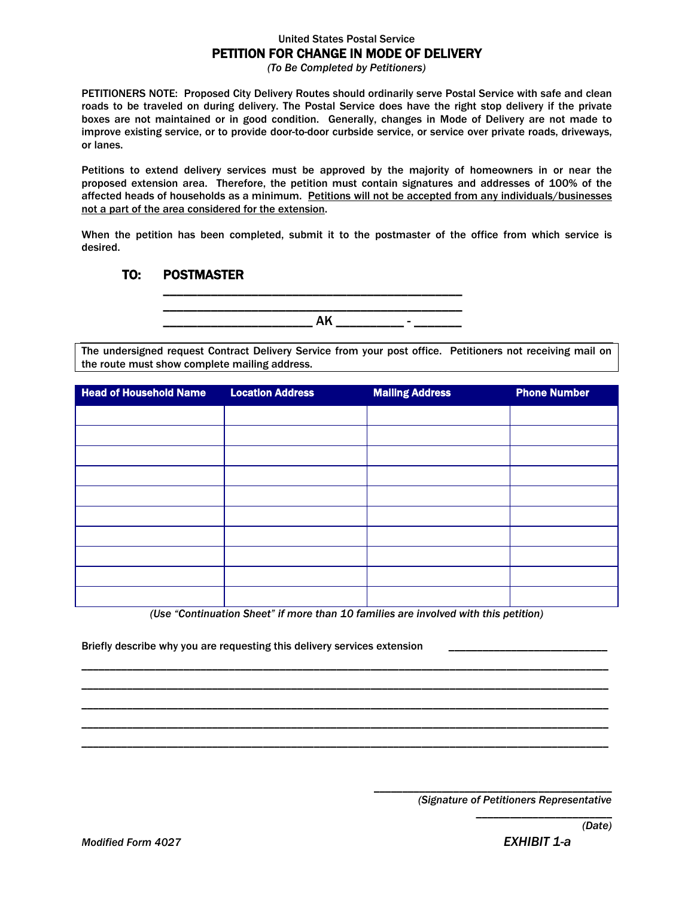## United States Postal Service PETITION FOR CHANGE IN MODE OF DELIVERY

*(To Be Completed by Petitioners)*

PETITIONERS NOTE: Proposed City Delivery Routes should ordinarily serve Postal Service with safe and clean roads to be traveled on during delivery. The Postal Service does have the right stop delivery if the private boxes are not maintained or in good condition. Generally, changes in Mode of Delivery are not made to improve existing service, or to provide door-to-door curbside service, or service over private roads, driveways, or lanes.

Petitions to extend delivery services must be approved by the majority of homeowners in or near the proposed extension area. Therefore, the petition must contain signatures and addresses of 100% of the affected heads of households as a minimum. Petitions will not be accepted from any individuals/businesses not a part of the area considered for the extension.

When the petition has been completed, submit it to the postmaster of the office from which service is desired.

## TO: POSTMASTER

\_\_\_\_\_\_\_\_\_\_\_\_\_\_\_\_\_\_\_\_\_\_\_\_\_\_\_\_\_\_\_\_\_\_\_\_\_\_\_\_\_\_\_\_ \_\_\_\_\_\_\_\_\_\_\_\_\_\_\_\_\_\_\_\_\_\_ AK \_\_\_\_\_\_\_\_\_\_ - \_\_\_\_\_\_\_

\_\_\_\_\_\_\_\_\_\_\_\_\_\_\_\_\_\_\_\_\_\_\_\_\_\_\_\_\_\_\_\_\_\_\_\_\_\_\_\_\_\_\_\_

The undersigned request Contract Delivery Service from your post office. Petitioners not receiving mail on the route must show complete mailing address.

| <b>Head of Household Name</b> | <b>Location Address</b> | <b>Mailing Address</b> | <b>Phone Number</b> |
|-------------------------------|-------------------------|------------------------|---------------------|
|                               |                         |                        |                     |
|                               |                         |                        |                     |
|                               |                         |                        |                     |
|                               |                         |                        |                     |
|                               |                         |                        |                     |
|                               |                         |                        |                     |
|                               |                         |                        |                     |
|                               |                         |                        |                     |
|                               |                         |                        |                     |
|                               |                         |                        |                     |

*(Use "Continuation Sheet" if more than 10 families are involved with this petition)*

\_\_\_\_\_\_\_\_\_\_\_\_\_\_\_\_\_\_\_\_\_\_\_\_\_\_\_\_\_\_\_\_\_\_\_\_\_\_\_\_\_\_\_\_\_\_\_\_\_\_\_\_\_\_\_\_\_\_\_\_\_\_\_\_\_\_\_\_\_\_\_\_\_\_\_\_\_\_\_\_\_\_\_\_\_\_\_\_\_\_\_\_\_ \_\_\_\_\_\_\_\_\_\_\_\_\_\_\_\_\_\_\_\_\_\_\_\_\_\_\_\_\_\_\_\_\_\_\_\_\_\_\_\_\_\_\_\_\_\_\_\_\_\_\_\_\_\_\_\_\_\_\_\_\_\_\_\_\_\_\_\_\_\_\_\_\_\_\_\_\_\_\_\_\_\_\_\_\_\_\_\_\_\_\_\_\_ \_\_\_\_\_\_\_\_\_\_\_\_\_\_\_\_\_\_\_\_\_\_\_\_\_\_\_\_\_\_\_\_\_\_\_\_\_\_\_\_\_\_\_\_\_\_\_\_\_\_\_\_\_\_\_\_\_\_\_\_\_\_\_\_\_\_\_\_\_\_\_\_\_\_\_\_\_\_\_\_\_\_\_\_\_\_\_\_\_\_\_\_\_ \_\_\_\_\_\_\_\_\_\_\_\_\_\_\_\_\_\_\_\_\_\_\_\_\_\_\_\_\_\_\_\_\_\_\_\_\_\_\_\_\_\_\_\_\_\_\_\_\_\_\_\_\_\_\_\_\_\_\_\_\_\_\_\_\_\_\_\_\_\_\_\_\_\_\_\_\_\_\_\_\_\_\_\_\_\_\_\_\_\_\_\_\_ \_\_\_\_\_\_\_\_\_\_\_\_\_\_\_\_\_\_\_\_\_\_\_\_\_\_\_\_\_\_\_\_\_\_\_\_\_\_\_\_\_\_\_\_\_\_\_\_\_\_\_\_\_\_\_\_\_\_\_\_\_\_\_\_\_\_\_\_\_\_\_\_\_\_\_\_\_\_\_\_\_\_\_\_\_\_\_\_\_\_\_\_\_

Briefly describe why you are requesting this delivery services extension

\_\_\_\_\_\_\_\_\_\_\_\_\_\_\_\_\_\_\_\_\_\_\_\_\_\_\_\_\_\_\_\_\_\_\_\_\_\_\_\_\_\_ *(Signature of Petitioners Representative*

*\_\_\_\_\_\_\_\_\_\_\_\_\_\_\_\_\_\_\_\_\_\_\_\_*